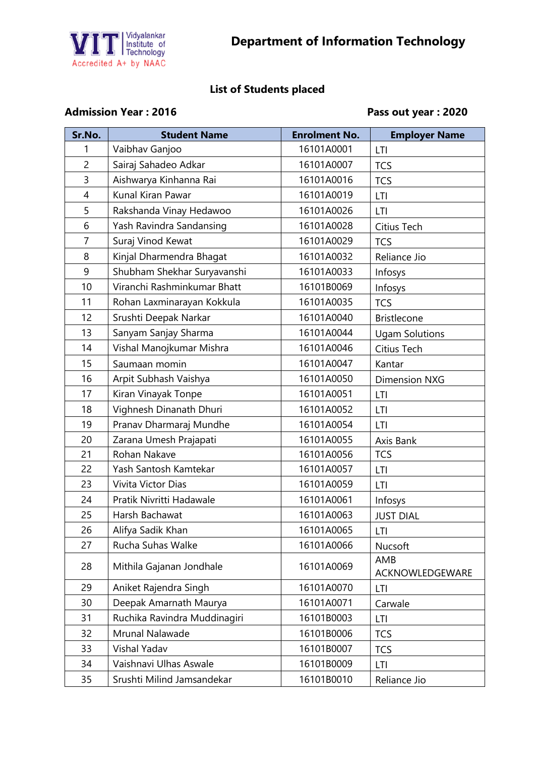

## **List of Students placed**

## Admission Year : 2016 **Pass out year : 2020**

| Sr.No.         | <b>Student Name</b>          | <b>Enrolment No.</b> | <b>Employer Name</b>   |
|----------------|------------------------------|----------------------|------------------------|
| 1              | Vaibhav Ganjoo               | 16101A0001           | LTI                    |
| $\overline{2}$ | Sairaj Sahadeo Adkar         | 16101A0007           | <b>TCS</b>             |
| 3              | Aishwarya Kinhanna Rai       | 16101A0016           | <b>TCS</b>             |
| $\overline{4}$ | Kunal Kiran Pawar            | 16101A0019           | <b>LTI</b>             |
| 5              | Rakshanda Vinay Hedawoo      | 16101A0026           | LTI                    |
| 6              | Yash Ravindra Sandansing     | 16101A0028           | Citius Tech            |
| $\overline{7}$ | Suraj Vinod Kewat            | 16101A0029           | <b>TCS</b>             |
| 8              | Kinjal Dharmendra Bhagat     | 16101A0032           | Reliance Jio           |
| 9              | Shubham Shekhar Suryavanshi  | 16101A0033           | Infosys                |
| 10             | Viranchi Rashminkumar Bhatt  | 16101B0069           | Infosys                |
| 11             | Rohan Laxminarayan Kokkula   | 16101A0035           | <b>TCS</b>             |
| 12             | Srushti Deepak Narkar        | 16101A0040           | <b>Bristlecone</b>     |
| 13             | Sanyam Sanjay Sharma         | 16101A0044           | <b>Ugam Solutions</b>  |
| 14             | Vishal Manojkumar Mishra     | 16101A0046           | Citius Tech            |
| 15             | Saumaan momin                | 16101A0047           | Kantar                 |
| 16             | Arpit Subhash Vaishya        | 16101A0050           | <b>Dimension NXG</b>   |
| 17             | Kiran Vinayak Tonpe          | 16101A0051           | LTI                    |
| 18             | Vighnesh Dinanath Dhuri      | 16101A0052           | LTI                    |
| 19             | Pranav Dharmaraj Mundhe      | 16101A0054           | <b>LTI</b>             |
| 20             | Zarana Umesh Prajapati       | 16101A0055           | Axis Bank              |
| 21             | Rohan Nakave                 | 16101A0056           | <b>TCS</b>             |
| 22             | Yash Santosh Kamtekar        | 16101A0057           | <b>LTI</b>             |
| 23             | Vivita Victor Dias           | 16101A0059           | LTI                    |
| 24             | Pratik Nivritti Hadawale     | 16101A0061           | Infosys                |
| 25             | Harsh Bachawat               | 16101A0063           | <b>JUST DIAL</b>       |
| 26             | Alifya Sadik Khan            | 16101A0065           | LTI                    |
| 27             | Rucha Suhas Walke            | 16101A0066           | Nucsoft                |
| 28             | Mithila Gajanan Jondhale     | 16101A0069           | AMB<br>ACKNOWLEDGEWARE |
| 29             | Aniket Rajendra Singh        | 16101A0070           | LTI                    |
| 30             | Deepak Amarnath Maurya       | 16101A0071           | Carwale                |
| 31             | Ruchika Ravindra Muddinagiri | 16101B0003           | LTI                    |
| 32             | Mrunal Nalawade              | 16101B0006           | <b>TCS</b>             |
| 33             | Vishal Yadav                 | 16101B0007           | <b>TCS</b>             |
| 34             | Vaishnavi Ulhas Aswale       | 16101B0009           | LTI                    |
| 35             | Srushti Milind Jamsandekar   | 16101B0010           | Reliance Jio           |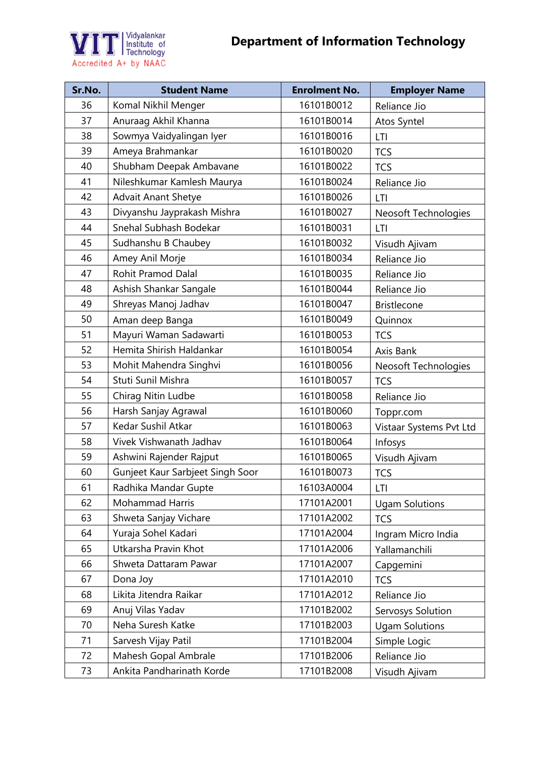



| Sr.No. | <b>Student Name</b>              | <b>Enrolment No.</b> | <b>Employer Name</b>    |
|--------|----------------------------------|----------------------|-------------------------|
| 36     | Komal Nikhil Menger              | 16101B0012           | Reliance Jio            |
| 37     | Anuraag Akhil Khanna             | 16101B0014           | Atos Syntel             |
| 38     | Sowmya Vaidyalingan Iyer         | 16101B0016           | <b>LTI</b>              |
| 39     | Ameya Brahmankar                 | 16101B0020           | <b>TCS</b>              |
| 40     | Shubham Deepak Ambavane          | 16101B0022           | <b>TCS</b>              |
| 41     | Nileshkumar Kamlesh Maurya       | 16101B0024           | Reliance Jio            |
| 42     | <b>Advait Anant Shetye</b>       | 16101B0026           | LTI                     |
| 43     | Divyanshu Jayprakash Mishra      | 16101B0027           | Neosoft Technologies    |
| 44     | Snehal Subhash Bodekar           | 16101B0031           | LTI                     |
| 45     | Sudhanshu B Chaubey              | 16101B0032           | Visudh Ajivam           |
| 46     | Amey Anil Morje                  | 16101B0034           | Reliance Jio            |
| 47     | <b>Rohit Pramod Dalal</b>        | 16101B0035           | Reliance Jio            |
| 48     | Ashish Shankar Sangale           | 16101B0044           | Reliance Jio            |
| 49     | Shreyas Manoj Jadhav             | 16101B0047           | <b>Bristlecone</b>      |
| 50     | Aman deep Banga                  | 16101B0049           | Quinnox                 |
| 51     | Mayuri Waman Sadawarti           | 16101B0053           | <b>TCS</b>              |
| 52     | Hemita Shirish Haldankar         | 16101B0054           | Axis Bank               |
| 53     | Mohit Mahendra Singhvi           | 16101B0056           | Neosoft Technologies    |
| 54     | Stuti Sunil Mishra               | 16101B0057           | <b>TCS</b>              |
| 55     | Chirag Nitin Ludbe               | 16101B0058           | Reliance Jio            |
| 56     | Harsh Sanjay Agrawal             | 16101B0060           | Toppr.com               |
| 57     | Kedar Sushil Atkar               | 16101B0063           | Vistaar Systems Pvt Ltd |
| 58     | Vivek Vishwanath Jadhav          | 16101B0064           | Infosys                 |
| 59     | Ashwini Rajender Rajput          | 16101B0065           | Visudh Ajivam           |
| 60     | Gunjeet Kaur Sarbjeet Singh Soor | 16101B0073           | <b>TCS</b>              |
| 61     | Radhika Mandar Gupte             | 16103A0004           | LTI                     |
| 62     | Mohammad Harris                  | 17101A2001           | <b>Ugam Solutions</b>   |
| 63     | Shweta Sanjay Vichare            | 17101A2002           | <b>TCS</b>              |
| 64     | Yuraja Sohel Kadari              | 17101A2004           | Ingram Micro India      |
| 65     | Utkarsha Pravin Khot             | 17101A2006           | Yallamanchili           |
| 66     | Shweta Dattaram Pawar            | 17101A2007           | Capgemini               |
| 67     | Dona Joy                         | 17101A2010           | <b>TCS</b>              |
| 68     | Likita Jitendra Raikar           | 17101A2012           | Reliance Jio            |
| 69     | Anuj Vilas Yadav                 | 17101B2002           | Servosys Solution       |
| 70     | Neha Suresh Katke                | 17101B2003           | <b>Ugam Solutions</b>   |
| 71     | Sarvesh Vijay Patil              | 17101B2004           | Simple Logic            |
| 72     | Mahesh Gopal Ambrale             | 17101B2006           | Reliance Jio            |
| 73     | Ankita Pandharinath Korde        | 17101B2008           | Visudh Ajivam           |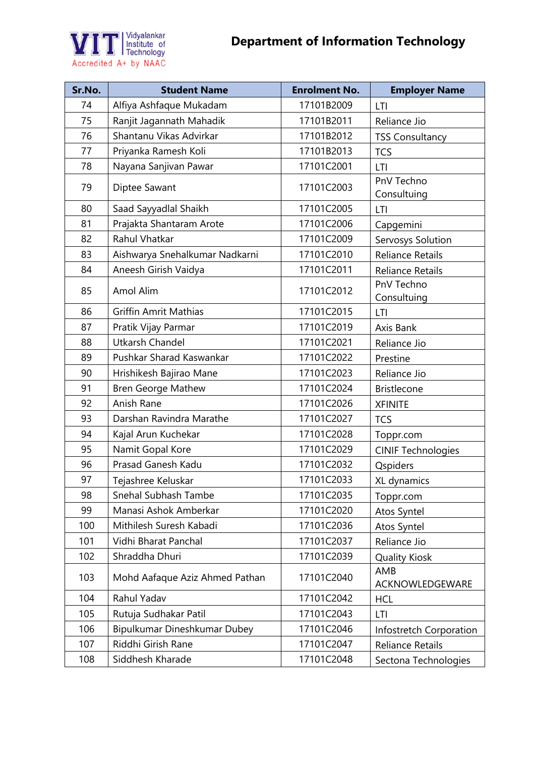



| Sr.No. | <b>Student Name</b>            | <b>Enrolment No.</b> | <b>Employer Name</b>      |
|--------|--------------------------------|----------------------|---------------------------|
| 74     | Alfiya Ashfaque Mukadam        | 17101B2009           | LTI                       |
| 75     | Ranjit Jagannath Mahadik       | 17101B2011           | Reliance Jio              |
| 76     | Shantanu Vikas Advirkar        | 17101B2012           | <b>TSS Consultancy</b>    |
| 77     | Priyanka Ramesh Koli           | 17101B2013           | <b>TCS</b>                |
| 78     | Nayana Sanjivan Pawar          | 17101C2001           | LTI                       |
| 79     | Diptee Sawant                  | 17101C2003           | PnV Techno<br>Consultuing |
| 80     | Saad Sayyadlal Shaikh          | 17101C2005           | LTI                       |
| 81     | Prajakta Shantaram Arote       | 17101C2006           | Capgemini                 |
| 82     | Rahul Vhatkar                  | 17101C2009           | Servosys Solution         |
| 83     | Aishwarya Snehalkumar Nadkarni | 17101C2010           | <b>Reliance Retails</b>   |
| 84     | Aneesh Girish Vaidya           | 17101C2011           | <b>Reliance Retails</b>   |
| 85     | Amol Alim                      | 17101C2012           | PnV Techno<br>Consultuing |
| 86     | <b>Griffin Amrit Mathias</b>   | 17101C2015           | LTI                       |
| 87     | Pratik Vijay Parmar            | 17101C2019           | Axis Bank                 |
| 88     | <b>Utkarsh Chandel</b>         | 17101C2021           | Reliance Jio              |
| 89     | Pushkar Sharad Kaswankar       | 17101C2022           | Prestine                  |
| 90     | Hrishikesh Bajirao Mane        | 17101C2023           | Reliance Jio              |
| 91     | <b>Bren George Mathew</b>      | 17101C2024           | <b>Bristlecone</b>        |
| 92     | Anish Rane                     | 17101C2026           | <b>XFINITE</b>            |
| 93     | Darshan Ravindra Marathe       | 17101C2027           | <b>TCS</b>                |
| 94     | Kajal Arun Kuchekar            | 17101C2028           | Toppr.com                 |
| 95     | Namit Gopal Kore               | 17101C2029           | <b>CINIF Technologies</b> |
| 96     | Prasad Ganesh Kadu             | 17101C2032           | Qspiders                  |
| 97     | Tejashree Keluskar             | 17101C2033           | XL dynamics               |
| 98     | Snehal Subhash Tambe           | 17101C2035           | Toppr.com                 |
| 99     | Manasi Ashok Amberkar          | 17101C2020           | Atos Syntel               |
| 100    | Mithilesh Suresh Kabadi        | 17101C2036           | Atos Syntel               |
| 101    | Vidhi Bharat Panchal           | 17101C2037           | Reliance Jio              |
| 102    | Shraddha Dhuri                 | 17101C2039           | <b>Quality Kiosk</b>      |
| 103    | Mohd Aafaque Aziz Ahmed Pathan | 17101C2040           | AMB<br>ACKNOWLEDGEWARE    |
| 104    | Rahul Yadav                    | 17101C2042           | <b>HCL</b>                |
| 105    | Rutuja Sudhakar Patil          | 17101C2043           | LTI                       |
| 106    | Bipulkumar Dineshkumar Dubey   | 17101C2046           | Infostretch Corporation   |
| 107    | Riddhi Girish Rane             | 17101C2047           | <b>Reliance Retails</b>   |
| 108    | Siddhesh Kharade               | 17101C2048           | Sectona Technologies      |